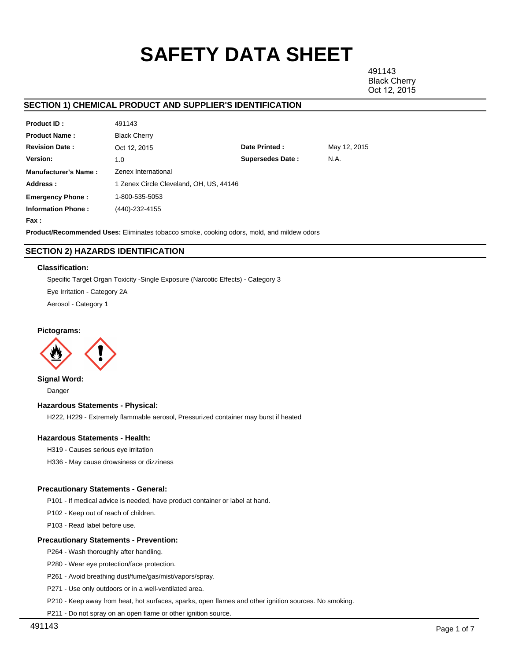# **SAFETY DATA SHEET**

491143 Black Cherry Oct 12, 2015

## **SECTION 1) CHEMICAL PRODUCT AND SUPPLIER'S IDENTIFICATION**

| <b>Product ID:</b>          | 491143                                  |                         |              |  |  |
|-----------------------------|-----------------------------------------|-------------------------|--------------|--|--|
| <b>Product Name:</b>        | <b>Black Cherry</b>                     |                         |              |  |  |
| <b>Revision Date:</b>       | Oct 12, 2015                            | Date Printed:           | May 12, 2015 |  |  |
| Version:                    | 1.0                                     | <b>Supersedes Date:</b> | N.A.         |  |  |
| <b>Manufacturer's Name:</b> | Zenex International                     |                         |              |  |  |
| Address:                    | 1 Zenex Circle Cleveland, OH, US, 44146 |                         |              |  |  |
| <b>Emergency Phone:</b>     | 1-800-535-5053                          |                         |              |  |  |
| <b>Information Phone:</b>   | (440)-232-4155                          |                         |              |  |  |
| Fax :                       |                                         |                         |              |  |  |

**Product/Recommended Uses:** Eliminates tobacco smoke, cooking odors, mold, and mildew odors

## **SECTION 2) HAZARDS IDENTIFICATION**

#### **Classification:**

Specific Target Organ Toxicity -Single Exposure (Narcotic Effects) - Category 3

Eye Irritation - Category 2A

Aerosol - Category 1

## **Pictograms:**



**Signal Word:** Danger

## **Hazardous Statements - Physical:**

H222, H229 - Extremely flammable aerosol, Pressurized container may burst if heated

## **Hazardous Statements - Health:**

H319 - Causes serious eye irritation

H336 - May cause drowsiness or dizziness

## **Precautionary Statements - General:**

P101 - If medical advice is needed, have product container or label at hand.

P102 - Keep out of reach of children.

P103 - Read label before use.

## **Precautionary Statements - Prevention:**

P264 - Wash thoroughly after handling.

P280 - Wear eye protection/face protection.

P261 - Avoid breathing dust/fume/gas/mist/vapors/spray.

P271 - Use only outdoors or in a well-ventilated area.

P210 - Keep away from heat, hot surfaces, sparks, open flames and other ignition sources. No smoking.

P211 - Do not spray on an open flame or other ignition source.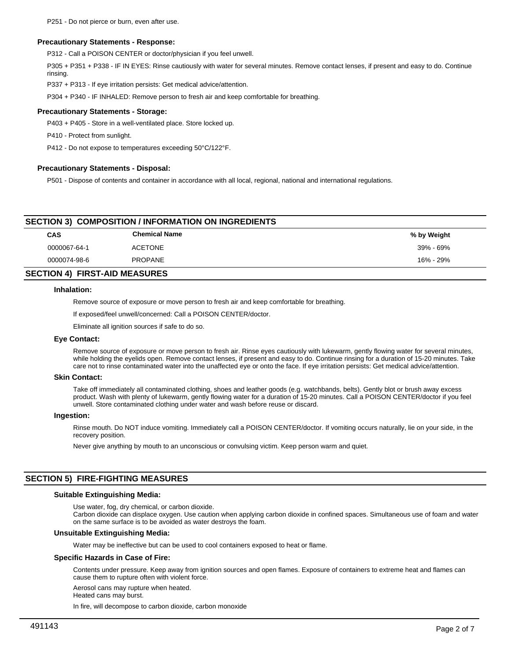#### **Precautionary Statements - Response:**

P312 - Call a POISON CENTER or doctor/physician if you feel unwell.

P305 + P351 + P338 - IF IN EYES: Rinse cautiously with water for several minutes. Remove contact lenses, if present and easy to do. Continue rinsing.

P337 + P313 - If eye irritation persists: Get medical advice/attention.

P304 + P340 - IF INHALED: Remove person to fresh air and keep comfortable for breathing.

#### **Precautionary Statements - Storage:**

P403 + P405 - Store in a well-ventilated place. Store locked up.

P410 - Protect from sunlight.

P412 - Do not expose to temperatures exceeding 50°C/122°F.

#### **Precautionary Statements - Disposal:**

P501 - Dispose of contents and container in accordance with all local, regional, national and international regulations.

| CAS          | <b>Chemical Name</b> | % by Weight |
|--------------|----------------------|-------------|
| 0000067-64-1 | <b>ACETONE</b>       | 39% - 69%   |
| 0000074-98-6 | <b>PROPANE</b>       | 16% - 29%   |
|              |                      |             |

## **SECTION 4) FIRST-AID MEASURES**

#### **Inhalation:**

Remove source of exposure or move person to fresh air and keep comfortable for breathing.

If exposed/feel unwell/concerned: Call a POISON CENTER/doctor.

Eliminate all ignition sources if safe to do so.

## **Eye Contact:**

Remove source of exposure or move person to fresh air. Rinse eyes cautiously with lukewarm, gently flowing water for several minutes, while holding the eyelids open. Remove contact lenses, if present and easy to do. Continue rinsing for a duration of 15-20 minutes. Take care not to rinse contaminated water into the unaffected eye or onto the face. If eye irritation persists: Get medical advice/attention.

#### **Skin Contact:**

Take off immediately all contaminated clothing, shoes and leather goods (e.g. watchbands, belts). Gently blot or brush away excess product. Wash with plenty of lukewarm, gently flowing water for a duration of 15-20 minutes. Call a POISON CENTER/doctor if you feel unwell. Store contaminated clothing under water and wash before reuse or discard.

#### **Ingestion:**

Rinse mouth. Do NOT induce vomiting. Immediately call a POISON CENTER/doctor. If vomiting occurs naturally, lie on your side, in the recovery position.

Never give anything by mouth to an unconscious or convulsing victim. Keep person warm and quiet.

## **SECTION 5) FIRE-FIGHTING MEASURES**

#### **Suitable Extinguishing Media:**

Use water, fog, dry chemical, or carbon dioxide.

Carbon dioxide can displace oxygen. Use caution when applying carbon dioxide in confined spaces. Simultaneous use of foam and water on the same surface is to be avoided as water destroys the foam.

## **Unsuitable Extinguishing Media:**

Water may be ineffective but can be used to cool containers exposed to heat or flame.

#### **Specific Hazards in Case of Fire:**

Contents under pressure. Keep away from ignition sources and open flames. Exposure of containers to extreme heat and flames can cause them to rupture often with violent force.

Aerosol cans may rupture when heated.

Heated cans may burst.

In fire, will decompose to carbon dioxide, carbon monoxide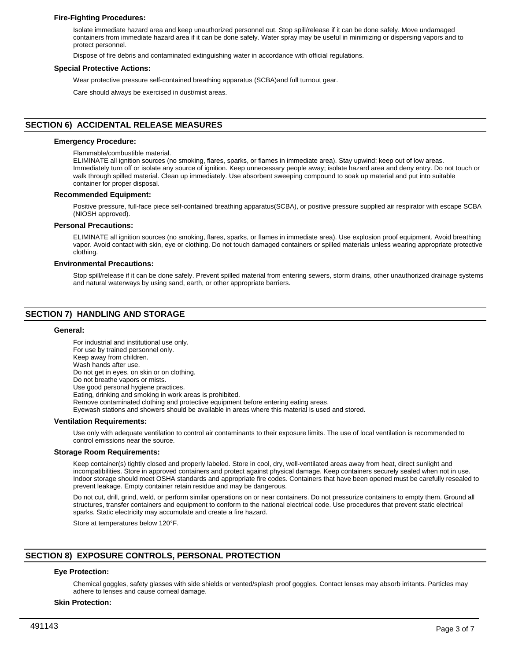## **Fire-Fighting Procedures:**

Isolate immediate hazard area and keep unauthorized personnel out. Stop spill/release if it can be done safely. Move undamaged containers from immediate hazard area if it can be done safely. Water spray may be useful in minimizing or dispersing vapors and to protect personnel.

Dispose of fire debris and contaminated extinguishing water in accordance with official regulations.

#### **Special Protective Actions:**

Wear protective pressure self-contained breathing apparatus (SCBA)and full turnout gear.

Care should always be exercised in dust/mist areas.

## **SECTION 6) ACCIDENTAL RELEASE MEASURES**

#### **Emergency Procedure:**

Flammable/combustible material.

ELIMINATE all ignition sources (no smoking, flares, sparks, or flames in immediate area). Stay upwind; keep out of low areas. Immediately turn off or isolate any source of ignition. Keep unnecessary people away; isolate hazard area and deny entry. Do not touch or walk through spilled material. Clean up immediately. Use absorbent sweeping compound to soak up material and put into suitable container for proper disposal.

#### **Recommended Equipment:**

Positive pressure, full-face piece self-contained breathing apparatus(SCBA), or positive pressure supplied air respirator with escape SCBA (NIOSH approved).

#### **Personal Precautions:**

ELIMINATE all ignition sources (no smoking, flares, sparks, or flames in immediate area). Use explosion proof equipment. Avoid breathing vapor. Avoid contact with skin, eye or clothing. Do not touch damaged containers or spilled materials unless wearing appropriate protective clothing.

#### **Environmental Precautions:**

Stop spill/release if it can be done safely. Prevent spilled material from entering sewers, storm drains, other unauthorized drainage systems and natural waterways by using sand, earth, or other appropriate barriers.

## **SECTION 7) HANDLING AND STORAGE**

#### **General:**

For industrial and institutional use only. For use by trained personnel only. Keep away from children. Wash hands after use. Do not get in eyes, on skin or on clothing. Do not breathe vapors or mists. Use good personal hygiene practices. Eating, drinking and smoking in work areas is prohibited. Remove contaminated clothing and protective equipment before entering eating areas. Eyewash stations and showers should be available in areas where this material is used and stored. **Ventilation Requirements:**

Use only with adequate ventilation to control air contaminants to their exposure limits. The use of local ventilation is recommended to control emissions near the source.

#### **Storage Room Requirements:**

Keep container(s) tightly closed and properly labeled. Store in cool, dry, well-ventilated areas away from heat, direct sunlight and incompatibilities. Store in approved containers and protect against physical damage. Keep containers securely sealed when not in use. Indoor storage should meet OSHA standards and appropriate fire codes. Containers that have been opened must be carefully resealed to prevent leakage. Empty container retain residue and may be dangerous.

Do not cut, drill, grind, weld, or perform similar operations on or near containers. Do not pressurize containers to empty them. Ground all structures, transfer containers and equipment to conform to the national electrical code. Use procedures that prevent static electrical sparks. Static electricity may accumulate and create a fire hazard.

Store at temperatures below 120°F.

## **SECTION 8) EXPOSURE CONTROLS, PERSONAL PROTECTION**

## **Eye Protection:**

Chemical goggles, safety glasses with side shields or vented/splash proof goggles. Contact lenses may absorb irritants. Particles may adhere to lenses and cause corneal damage.

#### **Skin Protection:**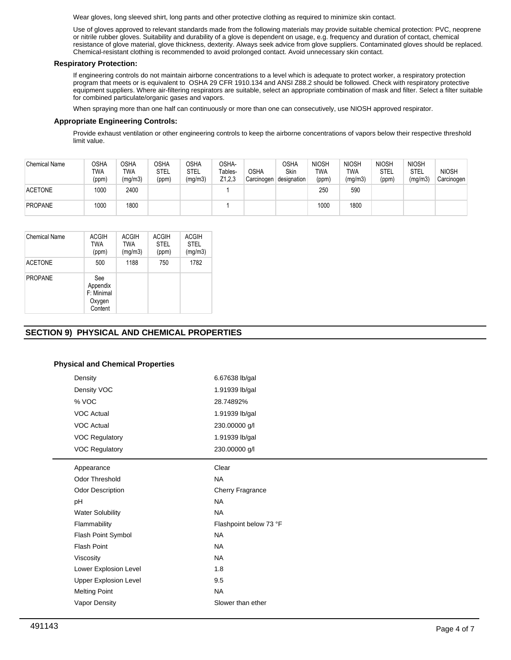Wear gloves, long sleeved shirt, long pants and other protective clothing as required to minimize skin contact.

Use of gloves approved to relevant standards made from the following materials may provide suitable chemical protection: PVC, neoprene or nitrile rubber gloves. Suitability and durability of a glove is dependent on usage, e.g. frequency and duration of contact, chemical resistance of glove material, glove thickness, dexterity. Always seek advice from glove suppliers. Contaminated gloves should be replaced. Chemical-resistant clothing is recommended to avoid prolonged contact. Avoid unnecessary skin contact.

## **Respiratory Protection:**

If engineering controls do not maintain airborne concentrations to a level which is adequate to protect worker, a respiratory protection program that meets or is equivalent to OSHA 29 CFR 1910.134 and ANSI Z88.2 should be followed. Check with respiratory protective equipment suppliers. Where air-filtering respirators are suitable, select an appropriate combination of mask and filter. Select a filter suitable for combined particulate/organic gases and vapors.

When spraying more than one half can continuously or more than one can consecutively, use NIOSH approved respirator.

## **Appropriate Engineering Controls:**

Provide exhaust ventilation or other engineering controls to keep the airborne concentrations of vapors below their respective threshold limit value.

| <b>Chemical Name</b> | OSHA<br>TWA<br>(ppm) | OSHA<br>TWA<br>(mg/m3) | <b>OSHA</b><br>STEL<br>(ppm) | OSHA<br><b>STEL</b><br>(mg/m3) | OSHA-<br>Tables-<br>Z1,2,3 | <b>OSHA</b><br>Carcinogen | OSHA<br>Skin<br>designation | <b>NIOSH</b><br>TWA<br>(ppm) | <b>NIOSH</b><br>TWA<br>(mg/m3) | <b>NIOSH</b><br>STEL<br>(ppm) | <b>NIOSH</b><br>STEL<br>(mg/m3) | <b>NIOSH</b><br>Carcinogen |
|----------------------|----------------------|------------------------|------------------------------|--------------------------------|----------------------------|---------------------------|-----------------------------|------------------------------|--------------------------------|-------------------------------|---------------------------------|----------------------------|
| <b>ACETONE</b>       | 1000                 | 2400                   |                              |                                |                            |                           |                             | 250                          | 590                            |                               |                                 |                            |
| PROPANE              | 1000                 | 1800                   |                              |                                |                            |                           |                             | 1000                         | 1800                           |                               |                                 |                            |

| Chemical Name  | ACGIH<br>TWA<br>(ppm)                              | <b>ACGIH</b><br><b>TWA</b><br>(mg/m3) | <b>ACGIH</b><br><b>STEL</b><br>(ppm) | <b>ACGIH</b><br><b>STEL</b><br>(mg/m3) |
|----------------|----------------------------------------------------|---------------------------------------|--------------------------------------|----------------------------------------|
| <b>ACETONE</b> | 500                                                | 1188                                  | 750                                  | 1782                                   |
| <b>PROPANE</b> | See<br>Appendix<br>F: Minimal<br>Oxygen<br>Content |                                       |                                      |                                        |

## **SECTION 9) PHYSICAL AND CHEMICAL PROPERTIES**

## **Physical and Chemical Properties**

| Density                      | 6.67638 lb/gal         |
|------------------------------|------------------------|
| Density VOC                  | 1.91939 lb/gal         |
| % VOC                        | 28.74892%              |
| <b>VOC Actual</b>            | 1.91939 lb/gal         |
| <b>VOC Actual</b>            | 230.00000 g/l          |
| <b>VOC Regulatory</b>        | 1.91939 lb/gal         |
| <b>VOC Regulatory</b>        | 230.00000 g/l          |
| Appearance                   | Clear                  |
| <b>Odor Threshold</b>        | <b>NA</b>              |
| Odor Description             | Cherry Fragrance       |
| pH                           | <b>NA</b>              |
| <b>Water Solubility</b>      | <b>NA</b>              |
| Flammability                 | Flashpoint below 73 °F |
| Flash Point Symbol           | <b>NA</b>              |
| <b>Flash Point</b>           | <b>NA</b>              |
| Viscosity                    | <b>NA</b>              |
| Lower Explosion Level        | 1.8                    |
| <b>Upper Explosion Level</b> | 9.5                    |
| <b>Melting Point</b>         | <b>NA</b>              |
| Vapor Density                | Slower than ether      |
|                              |                        |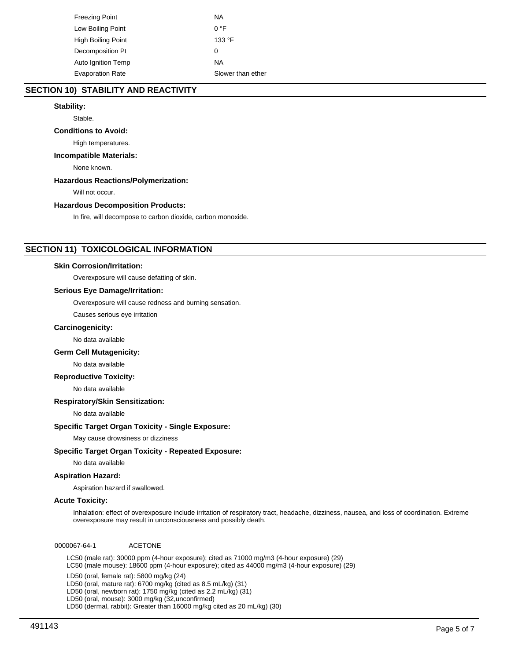| Freezing Point          | ΝA                |
|-------------------------|-------------------|
| Low Boiling Point       | $0^{\circ}$ F     |
| High Boiling Point      | 133 °F            |
| Decomposition Pt        | 0                 |
| Auto Ignition Temp      | ΝA                |
| <b>Evaporation Rate</b> | Slower than ether |

## **SECTION 10) STABILITY AND REACTIVITY**

## **Stability:**

Stable.

## **Conditions to Avoid:**

High temperatures.

## **Incompatible Materials:**

None known.

## **Hazardous Reactions/Polymerization:**

Will not occur.

## **Hazardous Decomposition Products:**

In fire, will decompose to carbon dioxide, carbon monoxide.

## **SECTION 11) TOXICOLOGICAL INFORMATION**

## **Skin Corrosion/Irritation:**

Overexposure will cause defatting of skin.

## **Serious Eye Damage/Irritation:**

Overexposure will cause redness and burning sensation.

Causes serious eye irritation

#### **Carcinogenicity:**

No data available

## **Germ Cell Mutagenicity:**

No data available

## **Reproductive Toxicity:**

No data available

## **Respiratory/Skin Sensitization:**

No data available

## **Specific Target Organ Toxicity - Single Exposure:**

May cause drowsiness or dizziness

## **Specific Target Organ Toxicity - Repeated Exposure:**

No data available

## **Aspiration Hazard:**

Aspiration hazard if swallowed.

## **Acute Toxicity:**

Inhalation: effect of overexposure include irritation of respiratory tract, headache, dizziness, nausea, and loss of coordination. Extreme overexposure may result in unconsciousness and possibly death.

0000067-64-1 ACETONE

LC50 (male rat): 30000 ppm (4-hour exposure); cited as 71000 mg/m3 (4-hour exposure) (29) LC50 (male mouse): 18600 ppm (4-hour exposure); cited as 44000 mg/m3 (4-hour exposure) (29)

LD50 (oral, female rat): 5800 mg/kg (24)

LD50 (oral, mature rat): 6700 mg/kg (cited as 8.5 mL/kg) (31)

LD50 (oral, newborn rat): 1750 mg/kg (cited as 2.2 mL/kg) (31)

LD50 (oral, mouse): 3000 mg/kg (32,unconfirmed)

LD50 (dermal, rabbit): Greater than 16000 mg/kg cited as 20 mL/kg) (30)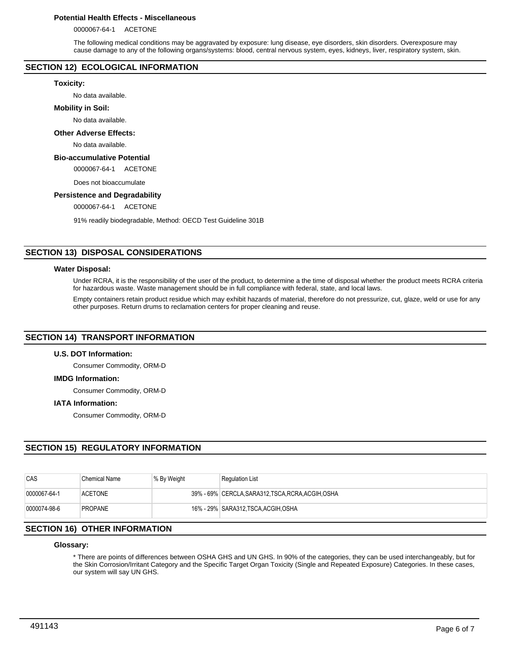## **Potential Health Effects - Miscellaneous**

0000067-64-1 ACETONE

The following medical conditions may be aggravated by exposure: lung disease, eye disorders, skin disorders. Overexposure may cause damage to any of the following organs/systems: blood, central nervous system, eyes, kidneys, liver, respiratory system, skin.

## **SECTION 12) ECOLOGICAL INFORMATION**

#### **Toxicity:**

No data available.

#### **Mobility in Soil:**

No data available.

## **Other Adverse Effects:**

No data available.

## **Bio-accumulative Potential**

0000067-64-1 ACETONE

Does not bioaccumulate

## **Persistence and Degradability**

0000067-64-1 ACETONE

91% readily biodegradable, Method: OECD Test Guideline 301B

## **SECTION 13) DISPOSAL CONSIDERATIONS**

#### **Water Disposal:**

Under RCRA, it is the responsibility of the user of the product, to determine a the time of disposal whether the product meets RCRA criteria for hazardous waste. Waste management should be in full compliance with federal, state, and local laws.

Empty containers retain product residue which may exhibit hazards of material, therefore do not pressurize, cut, glaze, weld or use for any other purposes. Return drums to reclamation centers for proper cleaning and reuse.

## **SECTION 14) TRANSPORT INFORMATION**

## **U.S. DOT Information:**

Consumer Commodity, ORM-D

## **IMDG Information:**

Consumer Commodity, ORM-D

## **IATA Information:**

Consumer Commodity, ORM-D

## **SECTION 15) REGULATORY INFORMATION**

| CAS          | <b>Chemical Name</b> | % By Weight | <b>Regulation List</b>                             |
|--------------|----------------------|-------------|----------------------------------------------------|
| 0000067-64-1 | <b>ACETONE</b>       |             | 39% - 69% CERCLA, SARA312, TSCA, RCRA, ACGIH, OSHA |
| 0000074-98-6 | <b>PROPANE</b>       |             | 16% - 29% SARA312.TSCA.ACGIH.OSHA                  |

## **SECTION 16) OTHER INFORMATION**

#### **Glossary:**

\* There are points of differences between OSHA GHS and UN GHS. In 90% of the categories, they can be used interchangeably, but for the Skin Corrosion/Irritant Category and the Specific Target Organ Toxicity (Single and Repeated Exposure) Categories. In these cases, our system will say UN GHS.